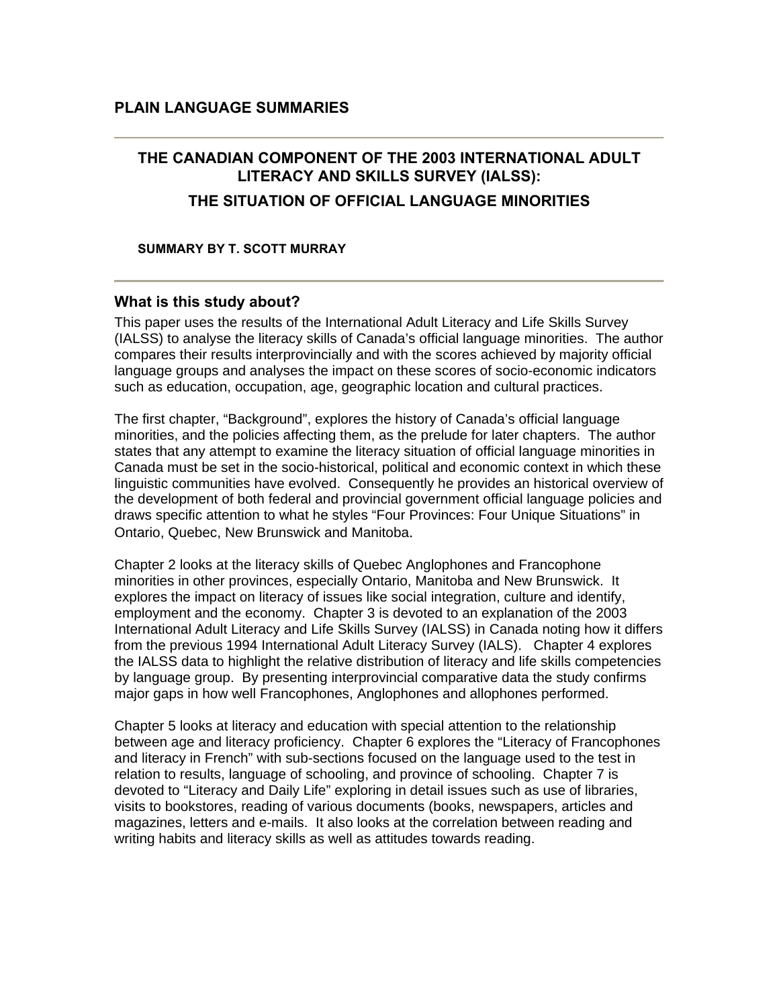# **THE CANADIAN COMPONENT OF THE 2003 INTERNATIONAL ADULT LITERACY AND SKILLS SURVEY (IALSS):**

### **THE SITUATION OF OFFICIAL LANGUAGE MINORITIES**

#### **SUMMARY BY T. SCOTT MURRAY**

### **What is this study about?**

This paper uses the results of the International Adult Literacy and Life Skills Survey (IALSS) to analyse the literacy skills of Canada's official language minorities. The author compares their results interprovincially and with the scores achieved by majority official language groups and analyses the impact on these scores of socio-economic indicators such as education, occupation, age, geographic location and cultural practices.

The first chapter, "Background", explores the history of Canada's official language minorities, and the policies affecting them, as the prelude for later chapters. The author states that any attempt to examine the literacy situation of official language minorities in Canada must be set in the socio-historical, political and economic context in which these linguistic communities have evolved. Consequently he provides an historical overview of the development of both federal and provincial government official language policies and draws specific attention to what he styles "Four Provinces: Four Unique Situations" in Ontario, Quebec, New Brunswick and Manitoba.

Chapter 2 looks at the literacy skills of Quebec Anglophones and Francophone minorities in other provinces, especially Ontario, Manitoba and New Brunswick. It explores the impact on literacy of issues like social integration, culture and identify, employment and the economy. Chapter 3 is devoted to an explanation of the 2003 International Adult Literacy and Life Skills Survey (IALSS) in Canada noting how it differs from the previous 1994 International Adult Literacy Survey (IALS). Chapter 4 explores the IALSS data to highlight the relative distribution of literacy and life skills competencies by language group. By presenting interprovincial comparative data the study confirms major gaps in how well Francophones, Anglophones and allophones performed.

Chapter 5 looks at literacy and education with special attention to the relationship between age and literacy proficiency. Chapter 6 explores the "Literacy of Francophones and literacy in French" with sub-sections focused on the language used to the test in relation to results, language of schooling, and province of schooling. Chapter 7 is devoted to "Literacy and Daily Life" exploring in detail issues such as use of libraries, visits to bookstores, reading of various documents (books, newspapers, articles and magazines, letters and e-mails. It also looks at the correlation between reading and writing habits and literacy skills as well as attitudes towards reading.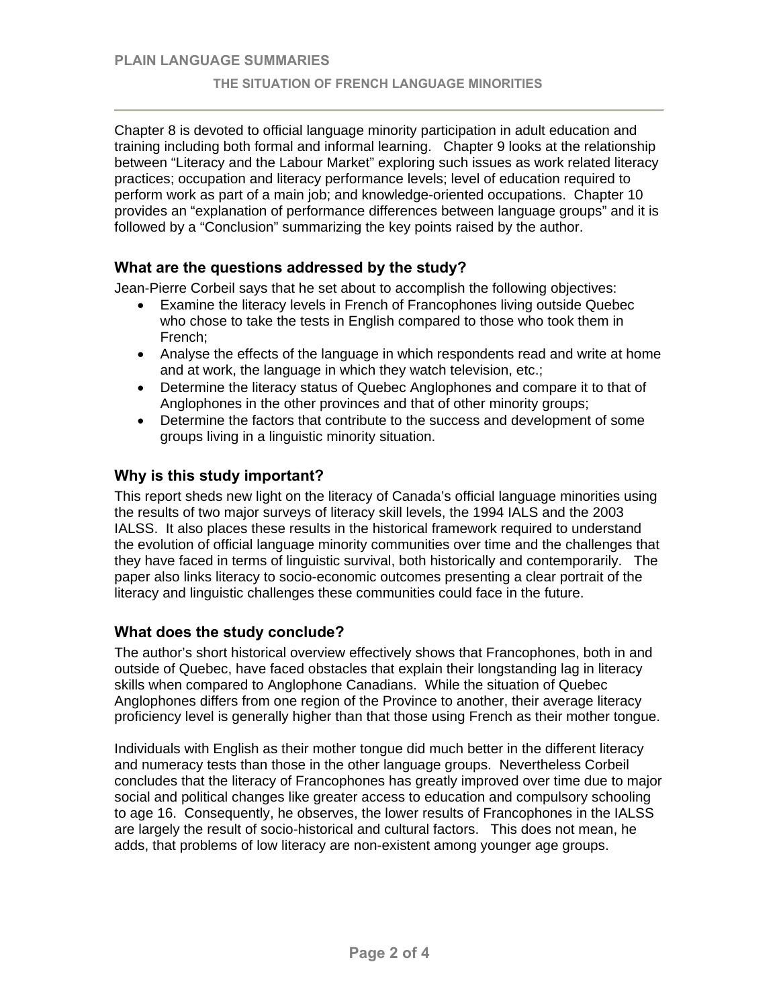Chapter 8 is devoted to official language minority participation in adult education and training including both formal and informal learning. Chapter 9 looks at the relationship between "Literacy and the Labour Market" exploring such issues as work related literacy practices; occupation and literacy performance levels; level of education required to perform work as part of a main job; and knowledge-oriented occupations. Chapter 10 provides an "explanation of performance differences between language groups" and it is followed by a "Conclusion" summarizing the key points raised by the author.

# **What are the questions addressed by the study?**

Jean-Pierre Corbeil says that he set about to accomplish the following objectives:

- Examine the literacy levels in French of Francophones living outside Quebec who chose to take the tests in English compared to those who took them in French;
- Analyse the effects of the language in which respondents read and write at home and at work, the language in which they watch television, etc.;
- Determine the literacy status of Quebec Anglophones and compare it to that of Anglophones in the other provinces and that of other minority groups;
- Determine the factors that contribute to the success and development of some groups living in a linguistic minority situation.

# **Why is this study important?**

This report sheds new light on the literacy of Canada's official language minorities using the results of two major surveys of literacy skill levels, the 1994 IALS and the 2003 IALSS. It also places these results in the historical framework required to understand the evolution of official language minority communities over time and the challenges that they have faced in terms of linguistic survival, both historically and contemporarily. The paper also links literacy to socio-economic outcomes presenting a clear portrait of the literacy and linguistic challenges these communities could face in the future.

## **What does the study conclude?**

The author's short historical overview effectively shows that Francophones, both in and outside of Quebec, have faced obstacles that explain their longstanding lag in literacy skills when compared to Anglophone Canadians. While the situation of Quebec Anglophones differs from one region of the Province to another, their average literacy proficiency level is generally higher than that those using French as their mother tongue.

Individuals with English as their mother tongue did much better in the different literacy and numeracy tests than those in the other language groups. Nevertheless Corbeil concludes that the literacy of Francophones has greatly improved over time due to major social and political changes like greater access to education and compulsory schooling to age 16. Consequently, he observes, the lower results of Francophones in the IALSS are largely the result of socio-historical and cultural factors. This does not mean, he adds, that problems of low literacy are non-existent among younger age groups.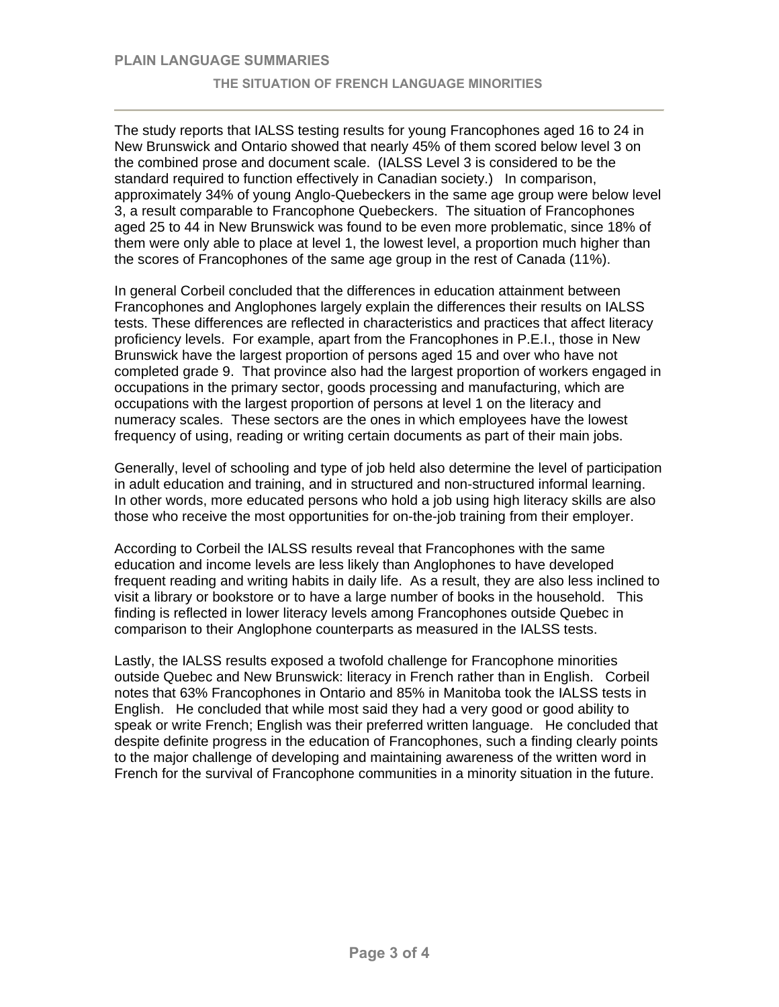The study reports that IALSS testing results for young Francophones aged 16 to 24 in New Brunswick and Ontario showed that nearly 45% of them scored below level 3 on the combined prose and document scale. (IALSS Level 3 is considered to be the standard required to function effectively in Canadian society.) In comparison, approximately 34% of young Anglo-Quebeckers in the same age group were below level 3, a result comparable to Francophone Quebeckers. The situation of Francophones aged 25 to 44 in New Brunswick was found to be even more problematic, since 18% of them were only able to place at level 1, the lowest level, a proportion much higher than the scores of Francophones of the same age group in the rest of Canada (11%).

In general Corbeil concluded that the differences in education attainment between Francophones and Anglophones largely explain the differences their results on IALSS tests. These differences are reflected in characteristics and practices that affect literacy proficiency levels. For example, apart from the Francophones in P.E.I., those in New Brunswick have the largest proportion of persons aged 15 and over who have not completed grade 9. That province also had the largest proportion of workers engaged in occupations in the primary sector, goods processing and manufacturing, which are occupations with the largest proportion of persons at level 1 on the literacy and numeracy scales. These sectors are the ones in which employees have the lowest frequency of using, reading or writing certain documents as part of their main jobs.

Generally, level of schooling and type of job held also determine the level of participation in adult education and training, and in structured and non-structured informal learning. In other words, more educated persons who hold a job using high literacy skills are also those who receive the most opportunities for on-the-job training from their employer.

According to Corbeil the IALSS results reveal that Francophones with the same education and income levels are less likely than Anglophones to have developed frequent reading and writing habits in daily life. As a result, they are also less inclined to visit a library or bookstore or to have a large number of books in the household. This finding is reflected in lower literacy levels among Francophones outside Quebec in comparison to their Anglophone counterparts as measured in the IALSS tests.

Lastly, the IALSS results exposed a twofold challenge for Francophone minorities outside Quebec and New Brunswick: literacy in French rather than in English. Corbeil notes that 63% Francophones in Ontario and 85% in Manitoba took the IALSS tests in English. He concluded that while most said they had a very good or good ability to speak or write French; English was their preferred written language. He concluded that despite definite progress in the education of Francophones, such a finding clearly points to the major challenge of developing and maintaining awareness of the written word in French for the survival of Francophone communities in a minority situation in the future.